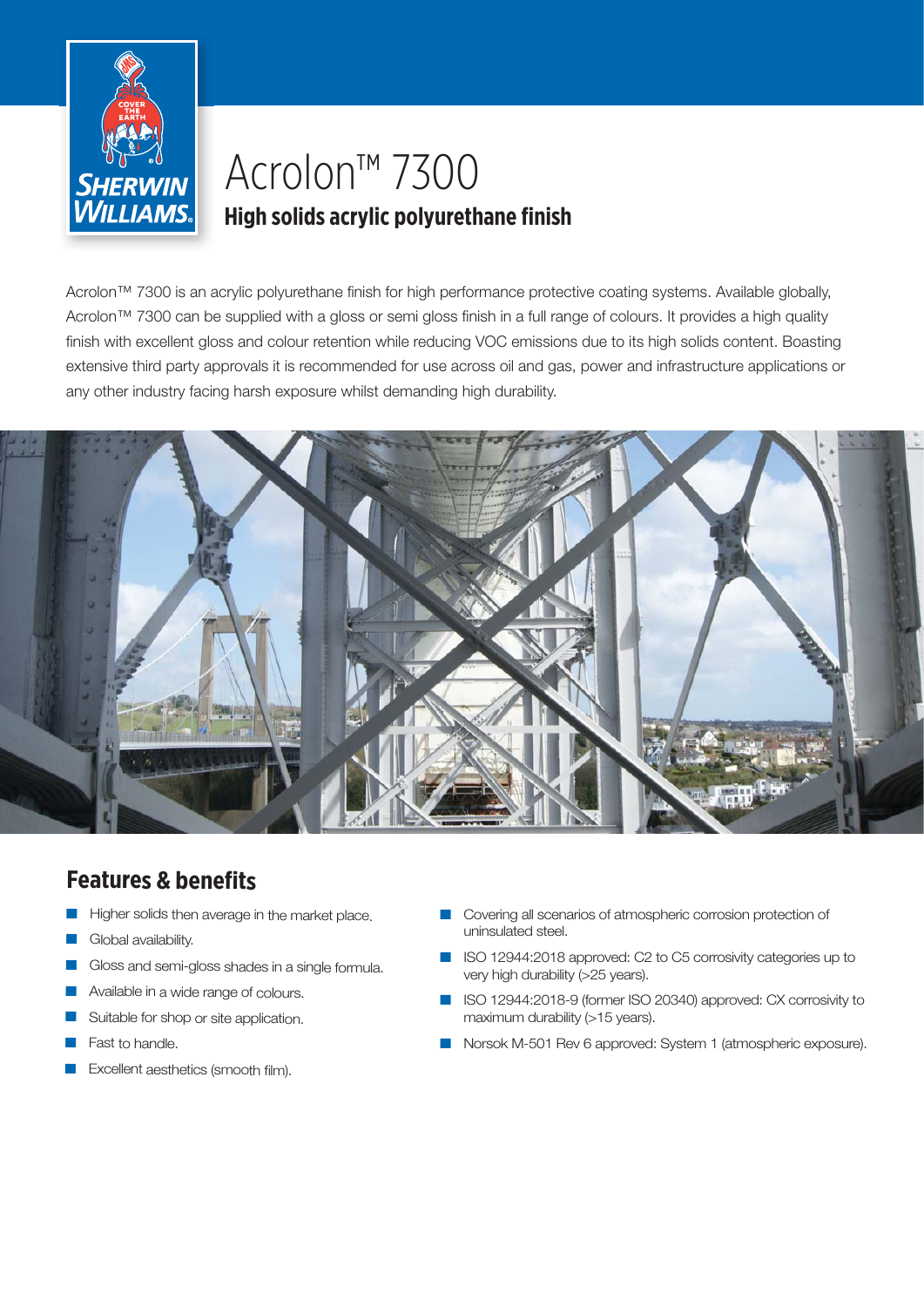

# Acrolon™ 7300 **High solids acrylic polyurethane finish**

Acrolon™ 7300 is an acrylic polyurethane finish for high performance protective coating systems. Available globally, Acrolon™ 7300 can be supplied with a gloss or semi gloss finish in a full range of colours. It provides a high quality finish with excellent gloss and colour retention while reducing VOC emissions due to its high solids content. Boasting extensive third party approvals it is recommended for use across oil and gas, power and infrastructure applications or any other industry facing harsh exposure whilst demanding high durability.



# **Features & benefits**

- Higher solids then average in the market place.
- Global availability.
- Gloss and semi-gloss shades in a single formula.
- Available in a wide range of colours.
- Suitable for shop or site application.
- Fast to handle.
- Excellent aesthetics (smooth film).
- Covering all scenarios of atmospheric corrosion protection of uninsulated steel.
- ISO 12944:2018 approved: C2 to C5 corrosivity categories up to very high durability (>25 years).
- ISO 12944:2018-9 (former ISO 20340) approved: CX corrosivity to maximum durability (>15 years).
- Norsok M-501 Rev 6 approved: System 1 (atmospheric exposure).